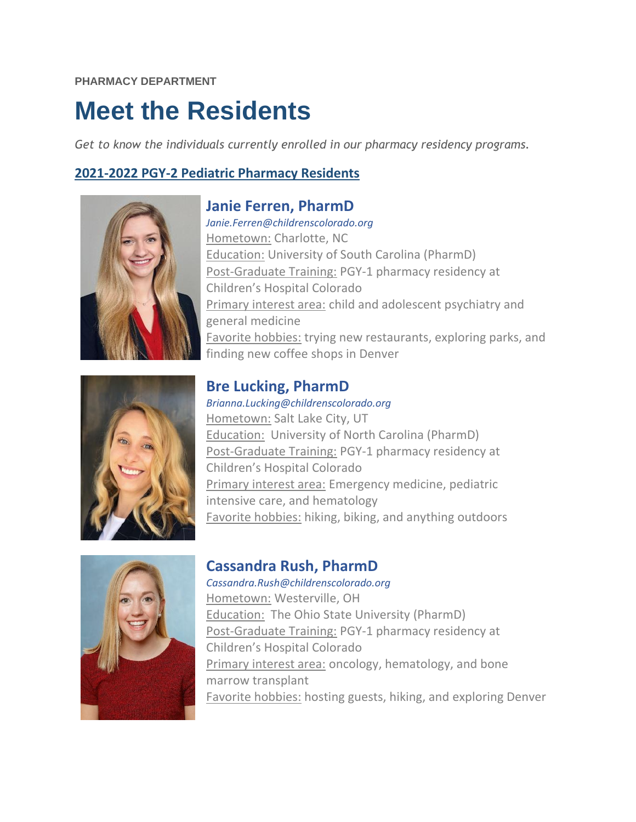# **Meet the Residents**

*Get to know the individuals currently enrolled in our pharmacy residency programs.* 

**Janie Ferren, PharmD**

# **2021-2022 PGY-2 Pediatric Pharmacy Residents**



*Janie.Ferren@childrenscolorado.org* Hometown: Charlotte, NC Education: University of South Carolina (PharmD) Post-Graduate Training: PGY-1 pharmacy residency at Children's Hospital Colorado Primary interest area: child and adolescent psychiatry and general medicine Favorite hobbies: trying new restaurants, exploring parks, and finding new coffee shops in Denver

**Bre Lucking, PharmD** *Brianna.Lucking@childrenscolorado.org* Hometown: Salt Lake City, UT Education: University of North Carolina (PharmD) Post-Graduate Training: PGY-1 pharmacy residency at Children's Hospital Colorado Primary interest area: Emergency medicine, pediatric intensive care, and hematology Favorite hobbies: hiking, biking, and anything outdoors



# **Cassandra Rush, PharmD**

*Cassandra.Rush@childrenscolorado.org*  Hometown: Westerville, OH Education: The Ohio State University (PharmD) Post-Graduate Training: PGY-1 pharmacy residency at Children's Hospital Colorado Primary interest area: oncology, hematology, and bone marrow transplant Favorite hobbies: hosting guests, hiking, and exploring Denver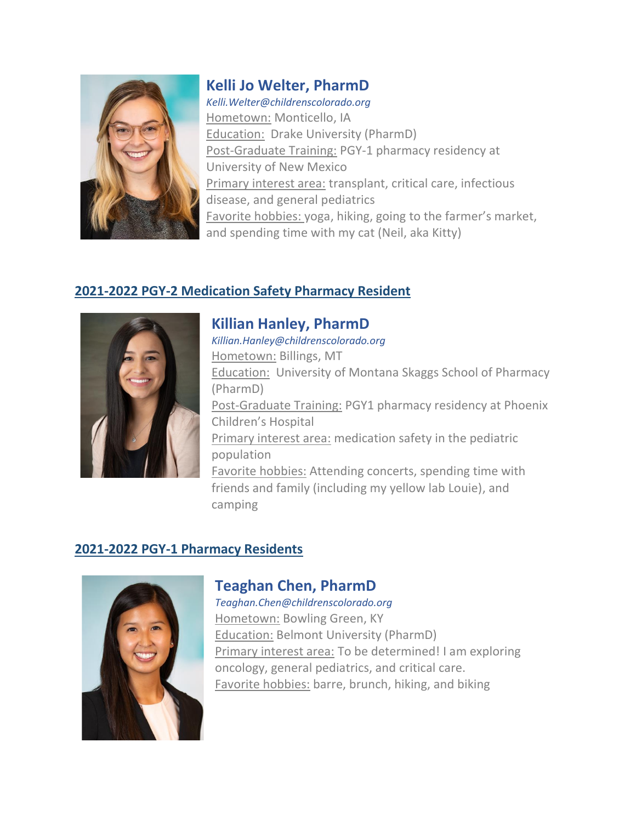

#### **Kelli Jo Welter, PharmD**

*Kelli.Welter@childrenscolorado.org*  Hometown: Monticello, IA Education: Drake University (PharmD) Post-Graduate Training: PGY-1 pharmacy residency at University of New Mexico Primary interest area: transplant, critical care, infectious disease, and general pediatrics Favorite hobbies: yoga, hiking, going to the farmer's market, and spending time with my cat (Neil, aka Kitty)

#### **2021-2022 PGY-2 Medication Safety Pharmacy Resident**



#### **Killian Hanley, PharmD** *Killian.Hanley@childrenscolorado.org* Hometown: Billings, MT Education: University of Montana Skaggs School of Pharmacy (PharmD) Post-Graduate Training: PGY1 pharmacy residency at Phoenix Children's Hospital Primary interest area: medication safety in the pediatric population Favorite hobbies: Attending concerts, spending time with friends and family (including my yellow lab Louie), and camping

# **2021-2022 PGY-1 Pharmacy Residents**



#### **Teaghan Chen, PharmD**

*Teaghan.Chen@childrenscolorado.org* Hometown: Bowling Green, KY Education: Belmont University (PharmD) Primary interest area: To be determined! I am exploring oncology, general pediatrics, and critical care. Favorite hobbies: barre, brunch, hiking, and biking